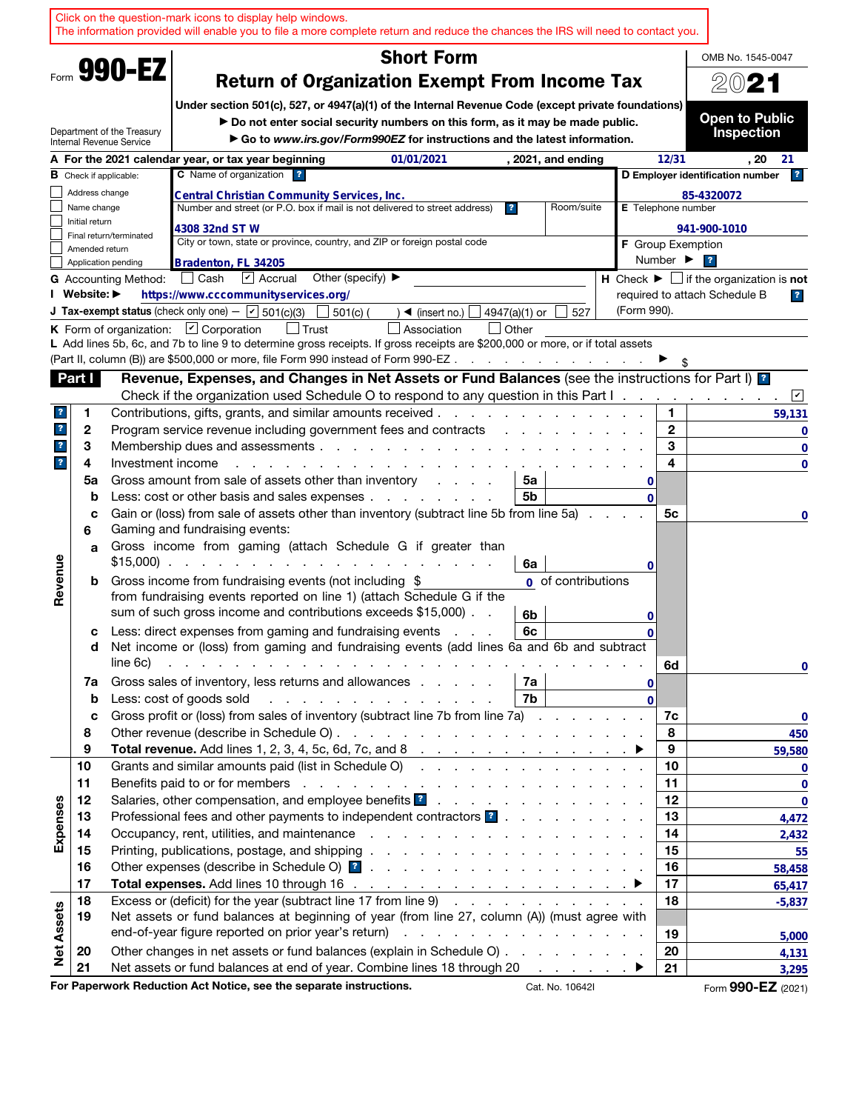|                         |                |                                                        | Click on the question-mark icons to display help windows.<br>The information provided will enable you to file a more complete return and reduce the chances the IRS will need to contact you.                                                                                |              |                           |                                                                               |
|-------------------------|----------------|--------------------------------------------------------|------------------------------------------------------------------------------------------------------------------------------------------------------------------------------------------------------------------------------------------------------------------------------|--------------|---------------------------|-------------------------------------------------------------------------------|
|                         |                |                                                        | <b>Short Form</b>                                                                                                                                                                                                                                                            |              |                           | OMB No. 1545-0047                                                             |
|                         |                | Form 990-EZ                                            | <b>Return of Organization Exempt From Income Tax</b>                                                                                                                                                                                                                         |              |                           | 2021                                                                          |
|                         |                |                                                        |                                                                                                                                                                                                                                                                              |              |                           |                                                                               |
|                         |                |                                                        | Under section 501(c), 527, or 4947(a)(1) of the Internal Revenue Code (except private foundations)<br>Do not enter social security numbers on this form, as it may be made public.                                                                                           |              |                           | <b>Open to Public</b>                                                         |
|                         |                | Department of the Treasury<br>Internal Revenue Service | Go to www.irs.gov/Form990EZ for instructions and the latest information.                                                                                                                                                                                                     |              |                           | <b>Inspection</b>                                                             |
|                         |                |                                                        | A For the 2021 calendar year, or tax year beginning<br>01/01/2021<br>, 2021, and ending                                                                                                                                                                                      |              | 12/31                     | . 20<br>-21                                                                   |
|                         |                | <b>B</b> Check if applicable:                          | C Name of organization ?                                                                                                                                                                                                                                                     |              |                           | $\overline{ }$<br>D Employer identification number                            |
|                         | Address change |                                                        | Central Christian Community Services, Inc.                                                                                                                                                                                                                                   |              |                           | 85-4320072                                                                    |
|                         | Name change    |                                                        | Room/suite<br>Number and street (or P.O. box if mail is not delivered to street address)<br>$\overline{\mathbf{r}}$                                                                                                                                                          |              | E Telephone number        |                                                                               |
|                         | Initial return | Final return/terminated                                | 4308 32nd ST W                                                                                                                                                                                                                                                               |              |                           | 941-900-1010                                                                  |
|                         | Amended return |                                                        | City or town, state or province, country, and ZIP or foreign postal code                                                                                                                                                                                                     |              | <b>F</b> Group Exemption  |                                                                               |
|                         |                | Application pending                                    | Bradenton, FL 34205                                                                                                                                                                                                                                                          |              | Number $\triangleright$ ? |                                                                               |
|                         | I Website: ▶   | <b>G</b> Accounting Method:                            | $\triangleright$ Accrual<br>Other (specify) $\blacktriangleright$<br>Cash                                                                                                                                                                                                    |              |                           | <b>H</b> Check $\blacktriangleright$ $\Box$ if the organization is <b>not</b> |
|                         |                |                                                        | https://www.cccommunityservices.org/<br><b>J Tax-exempt status</b> (check only one) - $\boxed{\mathbf{v}}$ 501(c)(3)<br>$501(c)$ (<br>$\triangleleft$ (insert no.)<br>4947(a)(1) or<br>527                                                                                   | (Form 990).  |                           | required to attach Schedule B<br>$\mathbf{r}$                                 |
|                         |                |                                                        | <b>K</b> Form of organization: $\boxed{\mathbf{v}}$ Corporation<br>$\vert$ Other<br>∣ Trust<br>Association                                                                                                                                                                   |              |                           |                                                                               |
|                         |                |                                                        | L Add lines 5b, 6c, and 7b to line 9 to determine gross receipts. If gross receipts are \$200,000 or more, or if total assets                                                                                                                                                |              |                           |                                                                               |
|                         |                |                                                        | (Part II, column (B)) are \$500,000 or more, file Form 990 instead of Form 990-EZ.<br>$\mathcal{L}^{\mathcal{L}}$ , where $\mathcal{L}^{\mathcal{L}}$ and $\mathcal{L}^{\mathcal{L}}$ and $\mathcal{L}^{\mathcal{L}}$                                                        |              |                           |                                                                               |
|                         | Part I         |                                                        | Revenue, Expenses, and Changes in Net Assets or Fund Balances (see the instructions for Part I) [2]                                                                                                                                                                          |              |                           |                                                                               |
|                         |                |                                                        | Check if the organization used Schedule O to respond to any question in this Part I.                                                                                                                                                                                         |              |                           | $\boxed{\check{}}$                                                            |
| $\mathbf{r}$            | 1              |                                                        | Contributions, gifts, grants, and similar amounts received.<br>.                                                                                                                                                                                                             |              | 1                         | 59,131                                                                        |
| $\overline{\mathbf{r}}$ | 2              |                                                        | Program service revenue including government fees and contracts                                                                                                                                                                                                              |              | $\mathbf{2}$              | 0                                                                             |
| $\overline{\mathbf{r}}$ | 3              |                                                        | Membership dues and assessments                                                                                                                                                                                                                                              |              | 3                         | 0                                                                             |
| $\overline{\mathbf{r}}$ | 4              | Investment income                                      |                                                                                                                                                                                                                                                                              |              | 4                         | $\mathbf 0$                                                                   |
|                         | 5a<br>b        |                                                        | Gross amount from sale of assets other than inventory<br>5a<br>5b<br>Less: cost or other basis and sales expenses                                                                                                                                                            | 0            |                           |                                                                               |
|                         | с              |                                                        | Gain or (loss) from sale of assets other than inventory (subtract line 5b from line 5a)                                                                                                                                                                                      | $\mathbf{0}$ | 5c                        | 0                                                                             |
|                         | 6              |                                                        | Gaming and fundraising events:                                                                                                                                                                                                                                               |              |                           |                                                                               |
|                         | a              |                                                        | Gross income from gaming (attach Schedule G if greater than                                                                                                                                                                                                                  |              |                           |                                                                               |
|                         |                | $$15,000$ ).                                           | the contract of the contract of the<br>and a strategic and<br>6a                                                                                                                                                                                                             | 0            |                           |                                                                               |
| Revenue                 | b              |                                                        | Gross income from fundraising events (not including \$<br>0 of contributions                                                                                                                                                                                                 |              |                           |                                                                               |
|                         |                |                                                        | from fundraising events reported on line 1) (attach Schedule G if the                                                                                                                                                                                                        |              |                           |                                                                               |
|                         |                |                                                        | sum of such gross income and contributions exceeds \$15,000)<br>6b                                                                                                                                                                                                           | 0            |                           |                                                                               |
|                         | с              |                                                        | Less: direct expenses from gaming and fundraising events<br>6с                                                                                                                                                                                                               | 0            |                           |                                                                               |
|                         | d              | line 6c)                                               | Net income or (loss) from gaming and fundraising events (add lines 6a and 6b and subtract<br>المتعاون والمتعاون والمتعاون والمتعاون والمتعاونة والمتعاونة والمتعاونة والمتعاونة                                                                                              |              | 6d                        |                                                                               |
|                         | 7a             |                                                        | Gross sales of inventory, less returns and allowances<br>7a                                                                                                                                                                                                                  | 0            |                           | 0                                                                             |
|                         | b              |                                                        | 7 <sub>b</sub><br>Less: cost of goods sold<br>and the company of the company of the company of the company of the company of the company of the company of the company of the company of the company of the company of the company of the company of the company of the comp | $\mathbf{0}$ |                           |                                                                               |
|                         | c              |                                                        | Gross profit or (loss) from sales of inventory (subtract line 7b from line 7a)                                                                                                                                                                                               |              | 7c                        | 0                                                                             |
|                         | 8              |                                                        |                                                                                                                                                                                                                                                                              |              | 8                         | 450                                                                           |
|                         | 9              |                                                        |                                                                                                                                                                                                                                                                              |              | 9                         | 59,580                                                                        |
|                         | 10             |                                                        | Grants and similar amounts paid (list in Schedule O)                                                                                                                                                                                                                         |              | 10                        | $\overline{\mathbf{0}}$                                                       |
|                         | 11             |                                                        |                                                                                                                                                                                                                                                                              |              | 11                        | $\mathbf 0$                                                                   |
|                         | 12             |                                                        |                                                                                                                                                                                                                                                                              |              | 12                        | $\mathbf 0$                                                                   |
| Expenses                | 13<br>14       |                                                        | Professional fees and other payments to independent contractors ?                                                                                                                                                                                                            |              | 13<br>14                  | 4,472                                                                         |
|                         | 15             |                                                        |                                                                                                                                                                                                                                                                              |              | 15                        | 2,432<br>55                                                                   |
|                         | 16             |                                                        |                                                                                                                                                                                                                                                                              |              | 16                        | 58,458                                                                        |
|                         | 17             |                                                        |                                                                                                                                                                                                                                                                              |              | 17                        | 65,417                                                                        |
|                         | 18             |                                                        | Excess or (deficit) for the year (subtract line 17 from line 9)                                                                                                                                                                                                              |              | 18                        | $-5,837$                                                                      |
|                         | 19             |                                                        | Net assets or fund balances at beginning of year (from line 27, column (A)) (must agree with                                                                                                                                                                                 |              |                           |                                                                               |
|                         |                |                                                        |                                                                                                                                                                                                                                                                              |              | 19                        | 5,000                                                                         |
| <b>Net Assets</b>       | 20             |                                                        | Other changes in net assets or fund balances (explain in Schedule O)                                                                                                                                                                                                         |              | 20                        | 4,131                                                                         |
|                         | 21             |                                                        | Net assets or fund balances at end of year. Combine lines 18 through 20 ▶                                                                                                                                                                                                    |              | 21                        | 3,295                                                                         |
|                         |                |                                                        | For Paperwork Reduction Act Notice, see the separate instructions.<br>Cat. No. 10642I                                                                                                                                                                                        |              |                           | Form 990-EZ (2021)                                                            |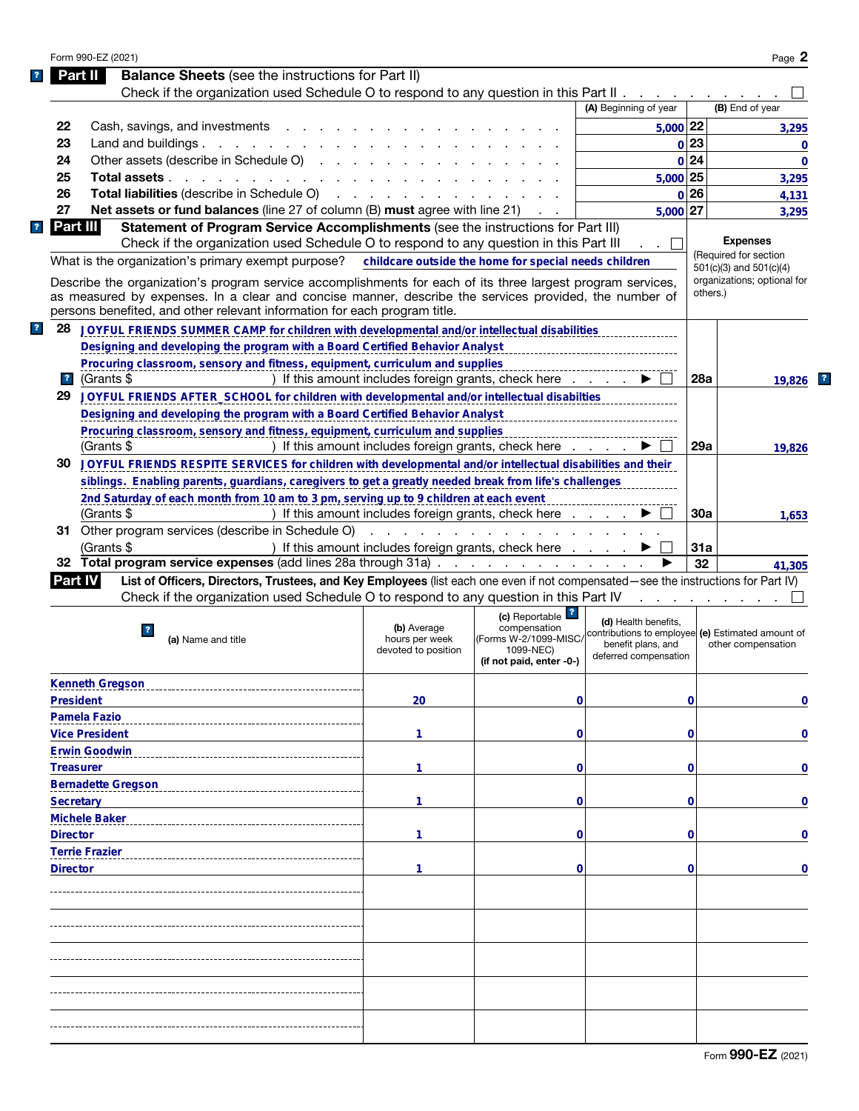|                                    | Form 990-EZ (2021)                                                                                                                                                                                                                                                                                |                                                      |                                                                                                               |                                                                                                                          |          | Page 2                      |
|------------------------------------|---------------------------------------------------------------------------------------------------------------------------------------------------------------------------------------------------------------------------------------------------------------------------------------------------|------------------------------------------------------|---------------------------------------------------------------------------------------------------------------|--------------------------------------------------------------------------------------------------------------------------|----------|-----------------------------|
|                                    | <b>Balance Sheets</b> (see the instructions for Part II)<br>Part II                                                                                                                                                                                                                               |                                                      |                                                                                                               |                                                                                                                          |          |                             |
|                                    | Check if the organization used Schedule O to respond to any question in this Part II.                                                                                                                                                                                                             |                                                      |                                                                                                               |                                                                                                                          |          |                             |
|                                    |                                                                                                                                                                                                                                                                                                   |                                                      |                                                                                                               | (A) Beginning of year                                                                                                    |          | (B) End of year             |
| 22                                 | Cash, savings, and investments                                                                                                                                                                                                                                                                    |                                                      |                                                                                                               | 5,000 22                                                                                                                 |          | 3,295                       |
| 23                                 | Land and buildings $\ldots$ $\ldots$ $\ldots$ $\ldots$                                                                                                                                                                                                                                            |                                                      |                                                                                                               |                                                                                                                          | 0 23     | 0                           |
| 24                                 | Other assets (describe in Schedule O)                                                                                                                                                                                                                                                             |                                                      |                                                                                                               |                                                                                                                          | 0 24     | $\mathbf 0$                 |
| 25                                 | Total assets                                                                                                                                                                                                                                                                                      |                                                      |                                                                                                               | 5,000 25                                                                                                                 |          | 3,295                       |
| 26                                 | Total liabilities (describe in Schedule O)                                                                                                                                                                                                                                                        |                                                      |                                                                                                               |                                                                                                                          | 0 26     | 4,131                       |
| 27                                 | Net assets or fund balances (line 27 of column (B) must agree with line 21)                                                                                                                                                                                                                       |                                                      |                                                                                                               | $5,000$ 27                                                                                                               |          | 3,295                       |
|                                    | <b>Part III</b><br>Statement of Program Service Accomplishments (see the instructions for Part III)                                                                                                                                                                                               |                                                      |                                                                                                               |                                                                                                                          |          |                             |
|                                    | Check if the organization used Schedule O to respond to any question in this Part III                                                                                                                                                                                                             |                                                      |                                                                                                               |                                                                                                                          |          | <b>Expenses</b>             |
|                                    | What is the organization's primary exempt purpose?                                                                                                                                                                                                                                                |                                                      | childcare outside the home for special needs children                                                         |                                                                                                                          |          | (Required for section       |
|                                    |                                                                                                                                                                                                                                                                                                   |                                                      |                                                                                                               |                                                                                                                          |          | $501(c)(3)$ and $501(c)(4)$ |
|                                    | Describe the organization's program service accomplishments for each of its three largest program services,<br>as measured by expenses. In a clear and concise manner, describe the services provided, the number of<br>persons benefited, and other relevant information for each program title. |                                                      |                                                                                                               |                                                                                                                          | others.) | organizations; optional for |
| 28                                 | JOYFUL FRIENDS SUMMER CAMP for children with developmental and/or intellectual disabilities                                                                                                                                                                                                       |                                                      |                                                                                                               |                                                                                                                          |          |                             |
|                                    | Designing and developing the program with a Board Certified Behavior Analyst                                                                                                                                                                                                                      |                                                      |                                                                                                               |                                                                                                                          |          |                             |
|                                    | Procuring classroom, sensory and fitness, equipment, curriculum and supplies                                                                                                                                                                                                                      |                                                      |                                                                                                               |                                                                                                                          |          |                             |
| $\overline{\mathbf{r}}$            | (Grants \$                                                                                                                                                                                                                                                                                        |                                                      | ) If this amount includes foreign grants, check here                                                          |                                                                                                                          | 28a      | 19.826                      |
| 29                                 | JOYFUL FRIENDS AFTER_SCHOOL for children with developmental and/or intellectual disabilties                                                                                                                                                                                                       |                                                      |                                                                                                               |                                                                                                                          |          |                             |
|                                    | Designing and developing the program with a Board Certified Behavior Analyst                                                                                                                                                                                                                      |                                                      |                                                                                                               |                                                                                                                          |          |                             |
|                                    | Procuring classroom, sensory and fitness, equipment, curriculum and supplies                                                                                                                                                                                                                      |                                                      |                                                                                                               |                                                                                                                          |          |                             |
|                                    | (Grants \$                                                                                                                                                                                                                                                                                        |                                                      | ) If this amount includes foreign grants, check here                                                          |                                                                                                                          | 29a      | 19.826                      |
| 30                                 | JOYFUL FRIENDS RESPITE SERVICES for children with developmental and/or intellectual disabilities and their                                                                                                                                                                                        |                                                      |                                                                                                               |                                                                                                                          |          |                             |
|                                    | siblings. Enabling parents, guardians, caregivers to get a greatly needed break from life's challenges                                                                                                                                                                                            |                                                      |                                                                                                               |                                                                                                                          |          |                             |
|                                    | 2nd Saturday of each month from 10 am to 3 pm, serving up to 9 children at each event                                                                                                                                                                                                             |                                                      |                                                                                                               |                                                                                                                          |          |                             |
|                                    | (Grants \$                                                                                                                                                                                                                                                                                        |                                                      | ) If this amount includes foreign grants, check here                                                          |                                                                                                                          | 30a      |                             |
|                                    | 31 Other program services (describe in Schedule O)                                                                                                                                                                                                                                                |                                                      |                                                                                                               |                                                                                                                          |          | 1,653                       |
|                                    |                                                                                                                                                                                                                                                                                                   |                                                      | and the contract of the contract of the contract of                                                           |                                                                                                                          |          |                             |
|                                    | (Grants \$                                                                                                                                                                                                                                                                                        |                                                      | ) If this amount includes foreign grants, check here                                                          |                                                                                                                          | 31a      |                             |
| 32                                 | Total program service expenses (add lines 28a through 31a)                                                                                                                                                                                                                                        |                                                      |                                                                                                               |                                                                                                                          | 32       | 41,305                      |
|                                    | List of Officers, Directors, Trustees, and Key Employees (list each one even if not compensated—see the instructions for Part IV)<br><b>Part IV</b>                                                                                                                                               |                                                      |                                                                                                               |                                                                                                                          |          |                             |
|                                    | Check if the organization used Schedule O to respond to any question in this Part IV                                                                                                                                                                                                              |                                                      |                                                                                                               |                                                                                                                          |          |                             |
|                                    |                                                                                                                                                                                                                                                                                                   |                                                      |                                                                                                               |                                                                                                                          |          |                             |
|                                    | $\mathbf{?}$<br>(a) Name and title                                                                                                                                                                                                                                                                | (b) Average<br>hours per week<br>devoted to position | (c) Reportable <sup>?</sup><br>compensation<br>(Forms W-2/1099-MISC/<br>1099-NEC)<br>(if not paid, enter -0-) | (d) Health benefits,<br>contributions to employee (e) Estimated amount of<br>benefit plans, and<br>deferred compensation |          | other compensation          |
|                                    | <b>Kenneth Gregson</b>                                                                                                                                                                                                                                                                            |                                                      |                                                                                                               |                                                                                                                          |          |                             |
|                                    | <b>President</b>                                                                                                                                                                                                                                                                                  | 20                                                   | 0                                                                                                             |                                                                                                                          | 0        |                             |
|                                    | <b>Pamela Fazio</b>                                                                                                                                                                                                                                                                               |                                                      |                                                                                                               |                                                                                                                          |          |                             |
|                                    | <b>Vice President</b>                                                                                                                                                                                                                                                                             | 1                                                    | 0                                                                                                             |                                                                                                                          | 0        |                             |
|                                    |                                                                                                                                                                                                                                                                                                   |                                                      |                                                                                                               |                                                                                                                          |          |                             |
|                                    | <b>Erwin Goodwin</b>                                                                                                                                                                                                                                                                              |                                                      |                                                                                                               |                                                                                                                          |          |                             |
|                                    | <b>Treasurer</b>                                                                                                                                                                                                                                                                                  | 1                                                    | 0                                                                                                             |                                                                                                                          | 0        |                             |
|                                    | <b>Bernadette Gregson</b>                                                                                                                                                                                                                                                                         |                                                      |                                                                                                               |                                                                                                                          |          |                             |
|                                    | <b>Secretary</b>                                                                                                                                                                                                                                                                                  | 1                                                    | 0                                                                                                             |                                                                                                                          | 0        |                             |
|                                    | <b>Michele Baker</b>                                                                                                                                                                                                                                                                              |                                                      |                                                                                                               |                                                                                                                          |          |                             |
|                                    |                                                                                                                                                                                                                                                                                                   | 1                                                    | 0                                                                                                             |                                                                                                                          | 0        |                             |
|                                    | <b>Terrie Frazier</b>                                                                                                                                                                                                                                                                             |                                                      |                                                                                                               |                                                                                                                          |          |                             |
|                                    |                                                                                                                                                                                                                                                                                                   | 1                                                    | 0                                                                                                             |                                                                                                                          | 0        |                             |
|                                    |                                                                                                                                                                                                                                                                                                   |                                                      |                                                                                                               |                                                                                                                          |          |                             |
|                                    |                                                                                                                                                                                                                                                                                                   |                                                      |                                                                                                               |                                                                                                                          |          |                             |
|                                    |                                                                                                                                                                                                                                                                                                   |                                                      |                                                                                                               |                                                                                                                          |          |                             |
|                                    |                                                                                                                                                                                                                                                                                                   |                                                      |                                                                                                               |                                                                                                                          |          |                             |
| <b>Director</b><br><b>Director</b> |                                                                                                                                                                                                                                                                                                   |                                                      |                                                                                                               |                                                                                                                          |          |                             |
|                                    |                                                                                                                                                                                                                                                                                                   |                                                      |                                                                                                               |                                                                                                                          |          |                             |
|                                    |                                                                                                                                                                                                                                                                                                   |                                                      |                                                                                                               |                                                                                                                          |          |                             |
|                                    |                                                                                                                                                                                                                                                                                                   |                                                      |                                                                                                               |                                                                                                                          |          |                             |
|                                    |                                                                                                                                                                                                                                                                                                   |                                                      |                                                                                                               |                                                                                                                          |          | 0<br>0<br>0<br>0<br>0<br>0  |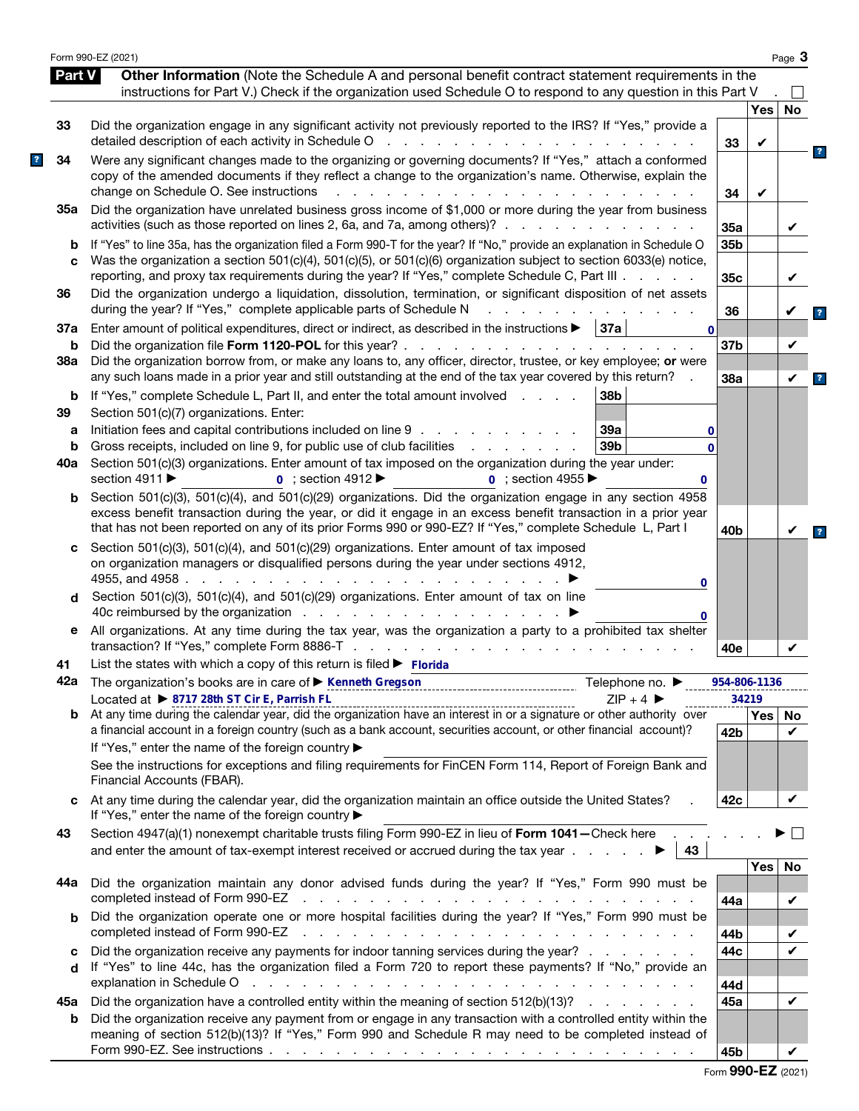|          | Form 990-EZ (2021)                                                                                                                                                                                                                                                                                                                               |                 |                     | Page 3  |                         |
|----------|--------------------------------------------------------------------------------------------------------------------------------------------------------------------------------------------------------------------------------------------------------------------------------------------------------------------------------------------------|-----------------|---------------------|---------|-------------------------|
| Part V   | Other Information (Note the Schedule A and personal benefit contract statement requirements in the<br>instructions for Part V.) Check if the organization used Schedule O to respond to any question in this Part V                                                                                                                              |                 |                     |         |                         |
|          |                                                                                                                                                                                                                                                                                                                                                  |                 | Yes                 | No      |                         |
| 33       | Did the organization engage in any significant activity not previously reported to the IRS? If "Yes," provide a<br>detailed description of each activity in Schedule O<br>and the state of the state of the                                                                                                                                      | 33              | V                   |         |                         |
| 34       | Were any significant changes made to the organizing or governing documents? If "Yes," attach a conformed<br>copy of the amended documents if they reflect a change to the organization's name. Otherwise, explain the<br>change on Schedule O. See instructions                                                                                  | 34              | V                   |         | $\overline{\mathbf{r}}$ |
| 35а      | Did the organization have unrelated business gross income of \$1,000 or more during the year from business<br>activities (such as those reported on lines 2, 6a, and 7a, among others)?                                                                                                                                                          | 35a             |                     | V       |                         |
| b<br>C   | If "Yes" to line 35a, has the organization filed a Form 990-T for the year? If "No," provide an explanation in Schedule O<br>Was the organization a section 501(c)(4), 501(c)(5), or 501(c)(6) organization subject to section 6033(e) notice,<br>reporting, and proxy tax requirements during the year? If "Yes," complete Schedule C, Part III | 35b<br>35c      |                     | V       |                         |
| 36       | Did the organization undergo a liquidation, dissolution, termination, or significant disposition of net assets<br>during the year? If "Yes," complete applicable parts of Schedule N                                                                                                                                                             | 36              |                     |         | $\overline{\mathbf{r}}$ |
| 37a      | Enter amount of political expenditures, direct or indirect, as described in the instructions $\blacktriangleright$   37a  <br>$\mathbf{0}$                                                                                                                                                                                                       |                 |                     |         |                         |
| b<br>38a | Did the organization file Form 1120-POL for this year? .<br>and the contract of the contract of the<br>Did the organization borrow from, or make any loans to, any officer, director, trustee, or key employee; or were                                                                                                                          | 37 <sub>b</sub> |                     | V       |                         |
|          | any such loans made in a prior year and still outstanding at the end of the tax year covered by this return?                                                                                                                                                                                                                                     | 38a             |                     | V       | $\overline{\mathbf{r}}$ |
| b<br>39  | 38b<br>If "Yes," complete Schedule L, Part II, and enter the total amount involved<br>Section 501(c)(7) organizations. Enter:                                                                                                                                                                                                                    |                 |                     |         |                         |
| a        | Initiation fees and capital contributions included on line 9<br>39a<br>0                                                                                                                                                                                                                                                                         |                 |                     |         |                         |
| b        | Gross receipts, included on line 9, for public use of club facilities<br>39 <sub>b</sub><br>and a state of the state of the<br>$\Omega$                                                                                                                                                                                                          |                 |                     |         |                         |
| 40a      | Section 501(c)(3) organizations. Enter amount of tax imposed on the organization during the year under:<br>section 4911 ▶<br>$\overline{0}$ : section 4912<br>$\overline{0}$ : section 4955<br>0                                                                                                                                                 |                 |                     |         |                         |
| b        | Section 501(c)(3), 501(c)(4), and 501(c)(29) organizations. Did the organization engage in any section 4958<br>excess benefit transaction during the year, or did it engage in an excess benefit transaction in a prior year<br>that has not been reported on any of its prior Forms 990 or 990-EZ? If "Yes," complete Schedule L, Part I        | 40 <sub>b</sub> |                     |         | $\overline{\mathbf{?}}$ |
| c        | Section 501(c)(3), 501(c)(4), and 501(c)(29) organizations. Enter amount of tax imposed<br>on organization managers or disqualified persons during the year under sections 4912,<br>4955, and 4958.<br>and a straight and a straight<br>0                                                                                                        |                 |                     |         |                         |
| d        | Section 501(c)(3), 501(c)(4), and 501(c)(29) organizations. Enter amount of tax on line<br>40c reimbursed by the organization<br>0                                                                                                                                                                                                               |                 |                     |         |                         |
| е        | All organizations. At any time during the tax year, was the organization a party to a prohibited tax shelter<br>transaction? If "Yes," complete Form 8886-T .<br>design and a state of the state of the                                                                                                                                          | 40e             |                     | V       |                         |
| 41       | List the states with which a copy of this return is filed $\blacktriangleright$ Florida                                                                                                                                                                                                                                                          |                 |                     |         |                         |
|          | 42a The organization's books are in care of ▶ Kenneth Gregson<br>Telephone no. $\blacktriangleright$                                                                                                                                                                                                                                             |                 | 954-806-1136        |         |                         |
| b        | Located at ▶ 8717 28th ST Cir E, Parrish FL<br>$ZIP + 4$                                                                                                                                                                                                                                                                                         |                 | 34219<br><b>Yes</b> | No.     |                         |
|          | a financial account in a foreign country (such as a bank account, securities account, or other financial account)?<br>If "Yes," enter the name of the foreign country ▶                                                                                                                                                                          | 42 <sub>b</sub> |                     | V       |                         |
|          | See the instructions for exceptions and filing requirements for FinCEN Form 114, Report of Foreign Bank and<br>Financial Accounts (FBAR).                                                                                                                                                                                                        |                 |                     |         |                         |
| c        | At any time during the calendar year, did the organization maintain an office outside the United States?<br>If "Yes," enter the name of the foreign country ▶                                                                                                                                                                                    | 42c             |                     | V       |                         |
| 43       | Section 4947(a)(1) nonexempt charitable trusts filing Form 990-EZ in lieu of Form 1041-Check here.<br>and enter the amount of tax-exempt interest received or accrued during the tax year $\ldots$<br>43                                                                                                                                         |                 |                     |         |                         |
| 44а      | Did the organization maintain any donor advised funds during the year? If "Yes," Form 990 must be<br>completed instead of Form 990-EZ<br>the contract of the contract of the contract of the contract of the contract of the contract of the contract of                                                                                         | 44a             | <b>Yes</b>          | No<br>V |                         |
| b        | Did the organization operate one or more hospital facilities during the year? If "Yes," Form 990 must be                                                                                                                                                                                                                                         |                 |                     |         |                         |
|          | completed instead of Form 990-EZ<br>a construction of the construction of the construction of the construction of the construction of the construction of the construction of the construction of the construction of the construction of the construction of the                                                                                | 44b             |                     | V       |                         |
| c<br>d   | Did the organization receive any payments for indoor tanning services during the year?<br>If "Yes" to line 44c, has the organization filed a Form 720 to report these payments? If "No," provide an<br>والمتعاون والمتعاون والمتعاون والمتعاون والمتعاون والمتعاون والمتعاون والمتعاون والمتعاون والمتعاون                                       | 44c             |                     | ✓       |                         |
|          | explanation in Schedule O                                                                                                                                                                                                                                                                                                                        | 44d<br>45а      |                     | V       |                         |
| 45а<br>b | Did the organization have a controlled entity within the meaning of section 512(b)(13)?<br>Did the organization receive any payment from or engage in any transaction with a controlled entity within the<br>meaning of section 512(b)(13)? If "Yes," Form 990 and Schedule R may need to be completed instead of                                |                 |                     |         |                         |
|          |                                                                                                                                                                                                                                                                                                                                                  | 45b             |                     | V       |                         |

|  |  |  | Form 990-EZ (2021) |
|--|--|--|--------------------|
|--|--|--|--------------------|